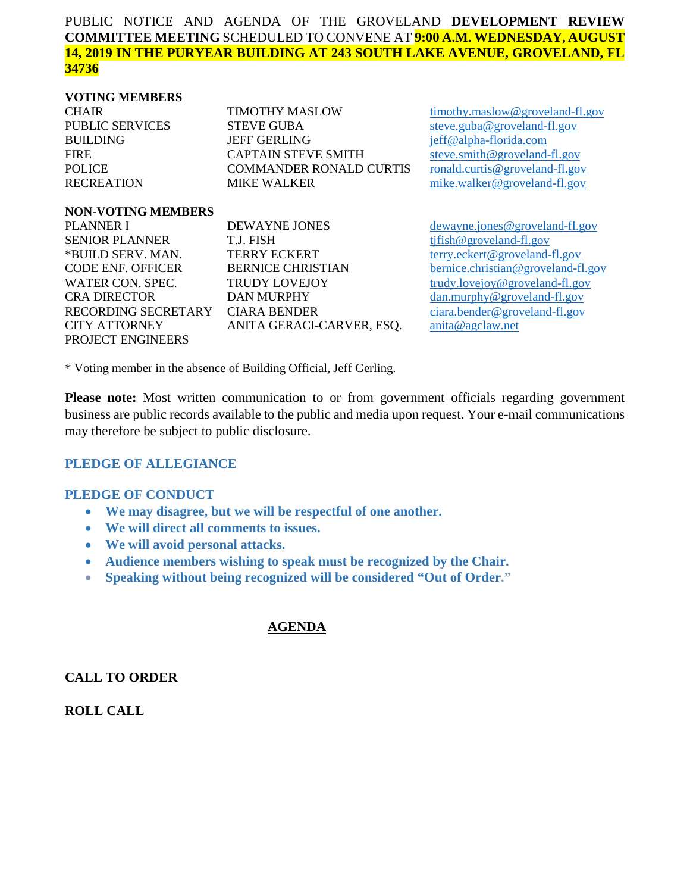#### PUBLIC NOTICE AND AGENDA OF THE GROVELAND **DEVELOPMENT REVIEW COMMITTEE MEETING** SCHEDULED TO CONVENE AT **9:00 A.M. WEDNESDAY, AUGUST 14, 2019 IN THE PURYEAR BUILDING AT 243 SOUTH LAKE AVENUE, GROVELAND, FL 34736**

#### **VOTING MEMBERS**

| <b>TIMOTHY MASLOW</b>          | timoth    |
|--------------------------------|-----------|
| <b>STEVE GUBA</b>              | steve.    |
| <b>JEFF GERLING</b>            | $j$ eff@a |
| <b>CAPTAIN STEVE SMITH</b>     | steve.    |
| <b>COMMANDER RONALD CURTIS</b> | ronald    |
| <b>MIKE WALKER</b>             | mike.     |
|                                |           |

**NON-VOTING MEMBERS**

PLANNER I DEWAYNE JONES dewayne.jones @groveland-fl.gov SENIOR PLANNER T.J. FISH [tjfish@groveland-fl.gov](mailto:tjfish@groveland-fl.gov) \*BUILD SERV. MAN. TERRY ECKERT [terry.eckert@groveland-fl.gov](mailto:terry.eckert@groveland-fl.gov) CODE ENF. OFFICER BERNICE CHRISTIAN [bernice.christian@groveland-fl.gov](mailto:bernice.christian@groveland-fl.gov) WATER CON. SPEC. TRUDY LOVEJOY [trudy.lovejoy@groveland-fl.gov](mailto:trudy.lovejoy@groveland-fl.gov) CRA DIRECTOR DAN MURPHY [dan.murphy@groveland-fl.gov](mailto:dan.murphy@groveland-fl.gov)<br>RECORDING SECRETARY CIARA BENDER ciara.bender@groveland-fl.gov RECORDING SECRETARY CIARA BENDER CITY ATTORNEY ANITA GERACI-CARVER, ESQ. [anita@agclaw.net](mailto:anita@agclaw.net) PROJECT ENGINEERS

 $xy$  maslow @groveland-fl.gov PUBLIC SERVICES STEVE GUBA [steve.guba@groveland-fl.gov](mailto:steve.guba@groveland-fl.gov) alpha-florida.com  $\text{smith@groueland-fl.gov}$  $l.$ curtis@groveland-fl.gov walker@groveland-fl.gov

\* Voting member in the absence of Building Official, Jeff Gerling.

**Please note:** Most written communication to or from government officials regarding government business are public records available to the public and media upon request. Your e-mail communications may therefore be subject to public disclosure.

## **PLEDGE OF ALLEGIANCE**

#### **PLEDGE OF CONDUCT**

- **We may disagree, but we will be respectful of one another.**
- **We will direct all comments to issues.**
- **We will avoid personal attacks.**
- **Audience members wishing to speak must be recognized by the Chair.**
- **Speaking without being recognized will be considered "Out of Order."**

## **AGENDA**

**CALL TO ORDER**

**ROLL CALL**